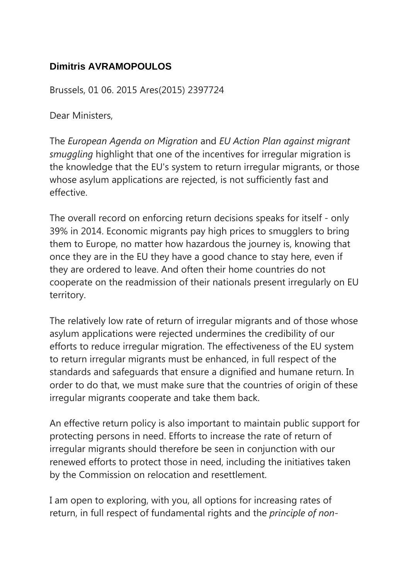## **Dimitris AVRAMOPOULOS**

Brussels, 01 06. 2015 Ares(2015) 2397724

Dear Ministers,

The *European Agenda on Migration* and *EU Action Plan against migrant smuggling* highlight that one of the incentives for irregular migration is the knowledge that the EU's system to return irregular migrants, or those whose asylum applications are rejected, is not sufficiently fast and effective.

The overall record on enforcing return decisions speaks for itself - only 39% in 2014. Economic migrants pay high prices to smugglers to bring them to Europe, no matter how hazardous the journey is, knowing that once they are in the EU they have a good chance to stay here, even if they are ordered to leave. And often their home countries do not cooperate on the readmission of their nationals present irregularly on EU territory.

The relatively low rate of return of irregular migrants and of those whose asylum applications were rejected undermines the credibility of our efforts to reduce irregular migration. The effectiveness of the EU system to return irregular migrants must be enhanced, in full respect of the standards and safeguards that ensure a dignified and humane return. In order to do that, we must make sure that the countries of origin of these irregular migrants cooperate and take them back.

An effective return policy is also important to maintain public support for protecting persons in need. Efforts to increase the rate of return of irregular migrants should therefore be seen in conjunction with our renewed efforts to protect those in need, including the initiatives taken by the Commission on relocation and resettlement.

I am open to exploring, with you, all options for increasing rates of return, in full respect of fundamental rights and the *principle of non-*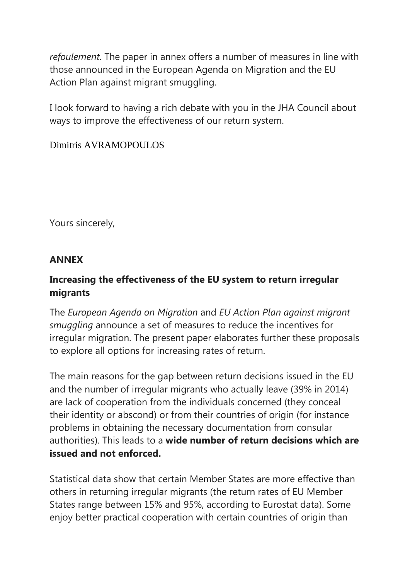*refoulement.* The paper in annex offers a number of measures in line with those announced in the European Agenda on Migration and the EU Action Plan against migrant smuggling.

I look forward to having a rich debate with you in the JHA Council about ways to improve the effectiveness of our return system.

#### Dimitris AVRAMOPOULOS

Yours sincerely,

#### **ANNEX**

## **Increasing the effectiveness of the EU system to return irregular migrants**

The *European Agenda on Migration* and *EU Action Plan against migrant smuggling* announce a set of measures to reduce the incentives for irregular migration. The present paper elaborates further these proposals to explore all options for increasing rates of return.

The main reasons for the gap between return decisions issued in the EU and the number of irregular migrants who actually leave (39% in 2014) are lack of cooperation from the individuals concerned (they conceal their identity or abscond) or from their countries of origin (for instance problems in obtaining the necessary documentation from consular authorities). This leads to a **wide number of return decisions which are issued and not enforced.**

Statistical data show that certain Member States are more effective than others in returning irregular migrants (the return rates of EU Member States range between 15% and 95%, according to Eurostat data). Some enjoy better practical cooperation with certain countries of origin than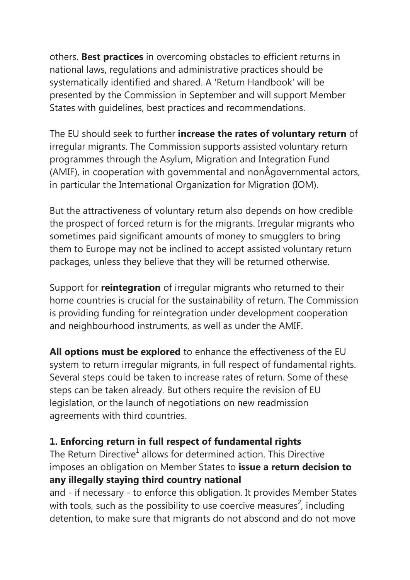others. **Best practices** in overcoming obstacles to efficient returns in national laws, regulations and administrative practices should be systematically identified and shared. A 'Return Handbook' will be presented by the Commission in September and will support Member States with guidelines, best practices and recommendations.

The EU should seek to further **increase the rates of voluntary return** of irregular migrants. The Commission supports assisted voluntary return programmes through the Asylum, Migration and Integration Fund (AMIF), in cooperation with governmental and nonÂgovernmental actors, in particular the International Organization for Migration (IOM).

But the attractiveness of voluntary return also depends on how credible the prospect of forced return is for the migrants. Irregular migrants who sometimes paid significant amounts of money to smugglers to bring them to Europe may not be inclined to accept assisted voluntary return packages, unless they believe that they will be returned otherwise.

Support for **reintegration** of irregular migrants who returned to their home countries is crucial for the sustainability of return. The Commission is providing funding for reintegration under development cooperation and neighbourhood instruments, as well as under the AMIF.

**All options must be explored** to enhance the effectiveness of the EU system to return irregular migrants, in full respect of fundamental rights. Several steps could be taken to increase rates of return. Some of these steps can be taken already. But others require the revision of EU legislation, or the launch of negotiations on new readmission agreements with third countries.

## **1. Enforcing return in full respect of fundamental rights**

The Return Directive<sup>1</sup> allows for determined action. This Directive imposes an obligation on Member States to **issue a return decision to any illegally staying third country national**

and - if necessary - to enforce this obligation. It provides Member States with tools, such as the possibility to use coercive measures<sup>2</sup>, including detention, to make sure that migrants do not abscond and do not move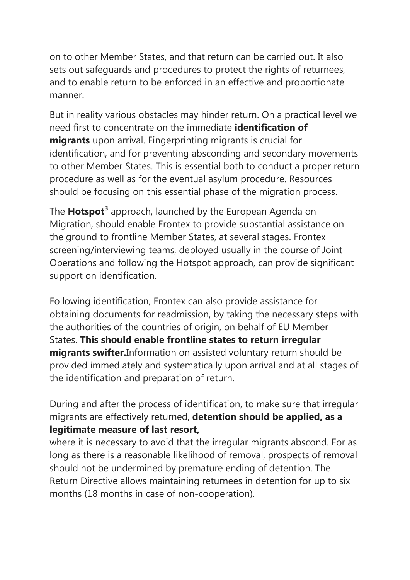on to other Member States, and that return can be carried out. It also sets out safeguards and procedures to protect the rights of returnees, and to enable return to be enforced in an effective and proportionate manner.

But in reality various obstacles may hinder return. On a practical level we need first to concentrate on the immediate **identification of migrants** upon arrival. Fingerprinting migrants is crucial for identification, and for preventing absconding and secondary movements to other Member States. This is essential both to conduct a proper return procedure as well as for the eventual asylum procedure. Resources should be focusing on this essential phase of the migration process.

The **Hotspot<sup>3</sup>** approach, launched by the European Agenda on Migration, should enable Frontex to provide substantial assistance on the ground to frontline Member States, at several stages. Frontex screening/interviewing teams, deployed usually in the course of Joint Operations and following the Hotspot approach, can provide significant support on identification.

Following identification, Frontex can also provide assistance for obtaining documents for readmission, by taking the necessary steps with the authorities of the countries of origin, on behalf of EU Member States. **This should enable frontline states to return irregular migrants swifter.**Information on assisted voluntary return should be provided immediately and systematically upon arrival and at all stages of the identification and preparation of return.

During and after the process of identification, to make sure that irregular migrants are effectively returned, **detention should be applied, as a legitimate measure of last resort,**

where it is necessary to avoid that the irregular migrants abscond. For as long as there is a reasonable likelihood of removal, prospects of removal should not be undermined by premature ending of detention. The Return Directive allows maintaining returnees in detention for up to six months (18 months in case of non-cooperation).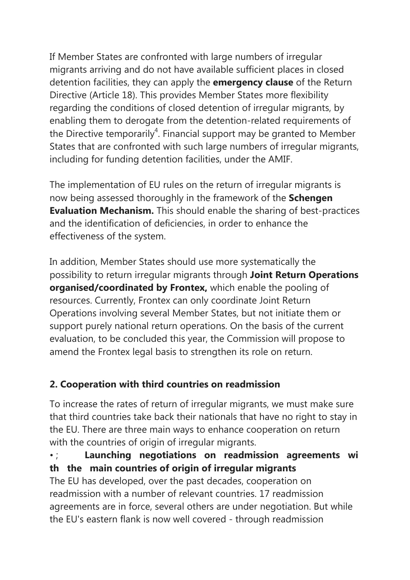If Member States are confronted with large numbers of irregular migrants arriving and do not have available sufficient places in closed detention facilities, they can apply the **emergency clause** of the Return Directive (Article 18). This provides Member States more flexibility regarding the conditions of closed detention of irregular migrants, by enabling them to derogate from the detention-related requirements of the Directive temporarily<sup>4</sup>. Financial support may be granted to Member States that are confronted with such large numbers of irregular migrants, including for funding detention facilities, under the AMIF.

The implementation of EU rules on the return of irregular migrants is now being assessed thoroughly in the framework of the **Schengen Evaluation Mechanism.** This should enable the sharing of best-practices and the identification of deficiencies, in order to enhance the effectiveness of the system.

In addition, Member States should use more systematically the possibility to return irregular migrants through **Joint Return Operations organised/coordinated by Frontex,** which enable the pooling of resources. Currently, Frontex can only coordinate Joint Return Operations involving several Member States, but not initiate them or support purely national return operations. On the basis of the current evaluation, to be concluded this year, the Commission will propose to amend the Frontex legal basis to strengthen its role on return.

## **2. Cooperation with third countries on readmission**

To increase the rates of return of irregular migrants, we must make sure that third countries take back their nationals that have no right to stay in the EU. There are three main ways to enhance cooperation on return with the countries of origin of irregular migrants.

## • ; **Launching negotiations on readmission agreements wi th the main countries of origin of irregular migrants**

The EU has developed, over the past decades, cooperation on readmission with a number of relevant countries. 17 readmission agreements are in force, several others are under negotiation. But while the EU's eastern flank is now well covered - through readmission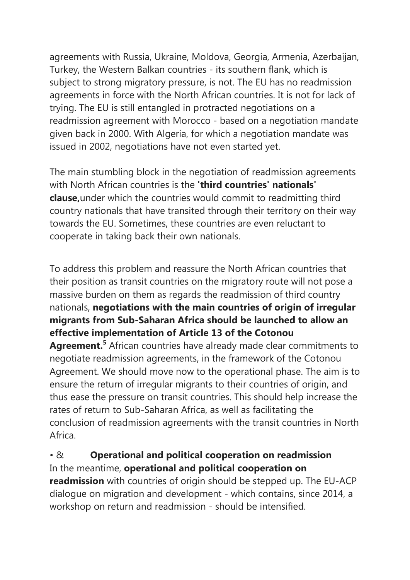agreements with Russia, Ukraine, Moldova, Georgia, Armenia, Azerbaijan, Turkey, the Western Balkan countries - its southern flank, which is subject to strong migratory pressure, is not. The EU has no readmission agreements in force with the North African countries. It is not for lack of trying. The EU is still entangled in protracted negotiations on a readmission agreement with Morocco - based on a negotiation mandate given back in 2000. With Algeria, for which a negotiation mandate was issued in 2002, negotiations have not even started yet.

The main stumbling block in the negotiation of readmission agreements with North African countries is the **'third countries' nationals' clause,**under which the countries would commit to readmitting third country nationals that have transited through their territory on their way towards the EU. Sometimes, these countries are even reluctant to cooperate in taking back their own nationals.

To address this problem and reassure the North African countries that their position as transit countries on the migratory route will not pose a massive burden on them as regards the readmission of third country nationals, **negotiations with the main countries of origin of irregular migrants from Sub-Saharan Africa should be launched to allow an effective implementation of Article 13 of the Cotonou** 

**Agreement.5** African countries have already made clear commitments to negotiate readmission agreements, in the framework of the Cotonou Agreement. We should move now to the operational phase. The aim is to ensure the return of irregular migrants to their countries of origin, and thus ease the pressure on transit countries. This should help increase the rates of return to Sub-Saharan Africa, as well as facilitating the conclusion of readmission agreements with the transit countries in North Africa.

#### • & **Operational and political cooperation on readmission** In the meantime, **operational and political cooperation on**

**readmission** with countries of origin should be stepped up. The EU-ACP dialogue on migration and development - which contains, since 2014, a workshop on return and readmission - should be intensified.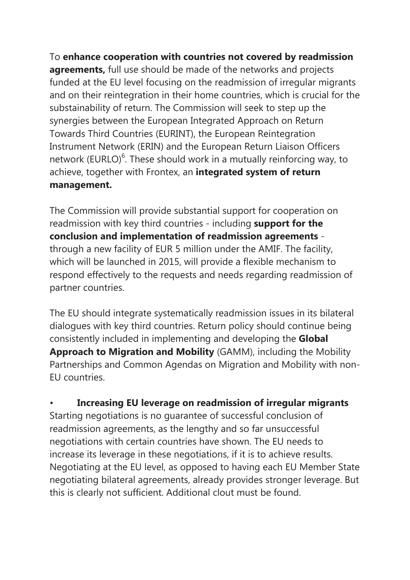To **enhance cooperation with countries not covered by readmission agreements,** full use should be made of the networks and projects funded at the EU level focusing on the readmission of irregular migrants and on their reintegration in their home countries, which is crucial for the substainability of return. The Commission will seek to step up the synergies between the European Integrated Approach on Return Towards Third Countries (EURINT), the European Reintegration Instrument Network (ERIN) and the European Return Liaison Officers network (EURLO)<sup>6</sup>. These should work in a mutually reinforcing way, to achieve, together with Frontex, an **integrated system of return management.**

The Commission will provide substantial support for cooperation on readmission with key third countries - including **support for the conclusion and implementation of readmission agreements**  through a new facility of EUR 5 million under the AMIF. The facility, which will be launched in 2015, will provide a flexible mechanism to respond effectively to the requests and needs regarding readmission of partner countries.

The EU should integrate systematically readmission issues in its bilateral dialogues with key third countries. Return policy should continue being consistently included in implementing and developing the **Global Approach to Migration and Mobility** (GAMM), including the Mobility Partnerships and Common Agendas on Migration and Mobility with non-EU countries.

• **Increasing EU leverage on readmission of irregular migrants** Starting negotiations is no guarantee of successful conclusion of readmission agreements, as the lengthy and so far unsuccessful negotiations with certain countries have shown. The EU needs to increase its leverage in these negotiations, if it is to achieve results. Negotiating at the EU level, as opposed to having each EU Member State negotiating bilateral agreements, already provides stronger leverage. But this is clearly not sufficient. Additional clout must be found.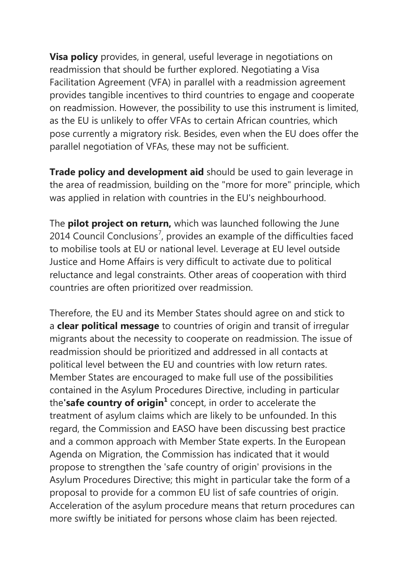**Visa policy** provides, in general, useful leverage in negotiations on readmission that should be further explored. Negotiating a Visa Facilitation Agreement (VFA) in parallel with a readmission agreement provides tangible incentives to third countries to engage and cooperate on readmission. However, the possibility to use this instrument is limited, as the EU is unlikely to offer VFAs to certain African countries, which pose currently a migratory risk. Besides, even when the EU does offer the parallel negotiation of VFAs, these may not be sufficient.

**Trade policy and development aid** should be used to gain leverage in the area of readmission, building on the "more for more" principle, which was applied in relation with countries in the EU's neighbourhood.

The **pilot project on return,** which was launched following the June 2014 Council Conclusions<sup>7</sup>, provides an example of the difficulties faced to mobilise tools at EU or national level. Leverage at EU level outside Justice and Home Affairs is very difficult to activate due to political reluctance and legal constraints. Other areas of cooperation with third countries are often prioritized over readmission.

Therefore, the EU and its Member States should agree on and stick to a **clear political message** to countries of origin and transit of irregular migrants about the necessity to cooperate on readmission. The issue of readmission should be prioritized and addressed in all contacts at political level between the EU and countries with low return rates. Member States are encouraged to make full use of the possibilities contained in the Asylum Procedures Directive, including in particular the**'safe country of origin<sup>1</sup>** concept, in order to accelerate the treatment of asylum claims which are likely to be unfounded. In this regard, the Commission and EASO have been discussing best practice and a common approach with Member State experts. In the European Agenda on Migration, the Commission has indicated that it would propose to strengthen the 'safe country of origin' provisions in the Asylum Procedures Directive; this might in particular take the form of a proposal to provide for a common EU list of safe countries of origin. Acceleration of the asylum procedure means that return procedures can more swiftly be initiated for persons whose claim has been rejected.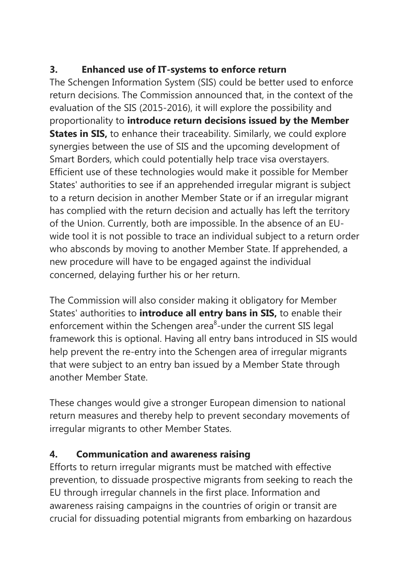# **3. Enhanced use of IT-systems to enforce return**

The Schengen Information System (SIS) could be better used to enforce return decisions. The Commission announced that, in the context of the evaluation of the SIS (2015-2016), it will explore the possibility and proportionality to **introduce return decisions issued by the Member States in SIS,** to enhance their traceability. Similarly, we could explore synergies between the use of SIS and the upcoming development of Smart Borders, which could potentially help trace visa overstayers. Efficient use of these technologies would make it possible for Member States' authorities to see if an apprehended irregular migrant is subject to a return decision in another Member State or if an irregular migrant has complied with the return decision and actually has left the territory of the Union. Currently, both are impossible. In the absence of an EUwide tool it is not possible to trace an individual subject to a return order who absconds by moving to another Member State. If apprehended, a new procedure will have to be engaged against the individual concerned, delaying further his or her return.

The Commission will also consider making it obligatory for Member States' authorities to **introduce all entry bans in SIS,** to enable their enforcement within the Schengen area<sup>8</sup>-under the current SIS legal framework this is optional. Having all entry bans introduced in SIS would help prevent the re-entry into the Schengen area of irregular migrants that were subject to an entry ban issued by a Member State through another Member State.

These changes would give a stronger European dimension to national return measures and thereby help to prevent secondary movements of irregular migrants to other Member States.

# **4. Communication and awareness raising**

Efforts to return irregular migrants must be matched with effective prevention, to dissuade prospective migrants from seeking to reach the EU through irregular channels in the first place. Information and awareness raising campaigns in the countries of origin or transit are crucial for dissuading potential migrants from embarking on hazardous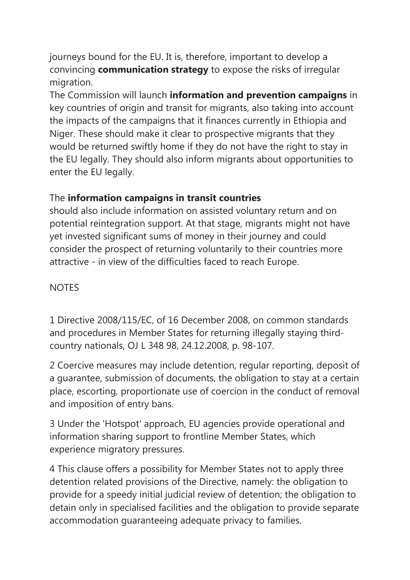journeys bound for the EU. It is, therefore, important to develop a convincing **communication strategy** to expose the risks of irregular migration.

The Commission will launch **information and prevention campaigns** in key countries of origin and transit for migrants, also taking into account the impacts of the campaigns that it finances currently in Ethiopia and Niger. These should make it clear to prospective migrants that they would be returned swiftly home if they do not have the right to stay in the EU legally. They should also inform migrants about opportunities to enter the EU legally.

## The **information campaigns in transit countries**

should also include information on assisted voluntary return and on potential reintegration support. At that stage, migrants might not have yet invested significant sums of money in their journey and could consider the prospect of returning voluntarily to their countries more attractive - in view of the difficulties faced to reach Europe.

#### **NOTES**

1 Directive 2008/115/EC, of 16 December 2008, on common standards and procedures in Member States for returning illegally staying thirdcountry nationals, OJ L 348 98, 24.12.2008, p. 98-107.

2 Coercive measures may include detention, regular reporting, deposit of a guarantee, submission of documents, the obligation to stay at a certain place, escorting, proportionate use of coercion in the conduct of removal and imposition of entry bans.

3 Under the 'Hotspot' approach, EU agencies provide operational and information sharing support to frontline Member States, which experience migratory pressures.

4 This clause offers a possibility for Member States not to apply three detention related provisions of the Directive, namely: the obligation to provide for a speedy initial judicial review of detention; the obligation to detain only in specialised facilities and the obligation to provide separate accommodation guaranteeing adequate privacy to families.